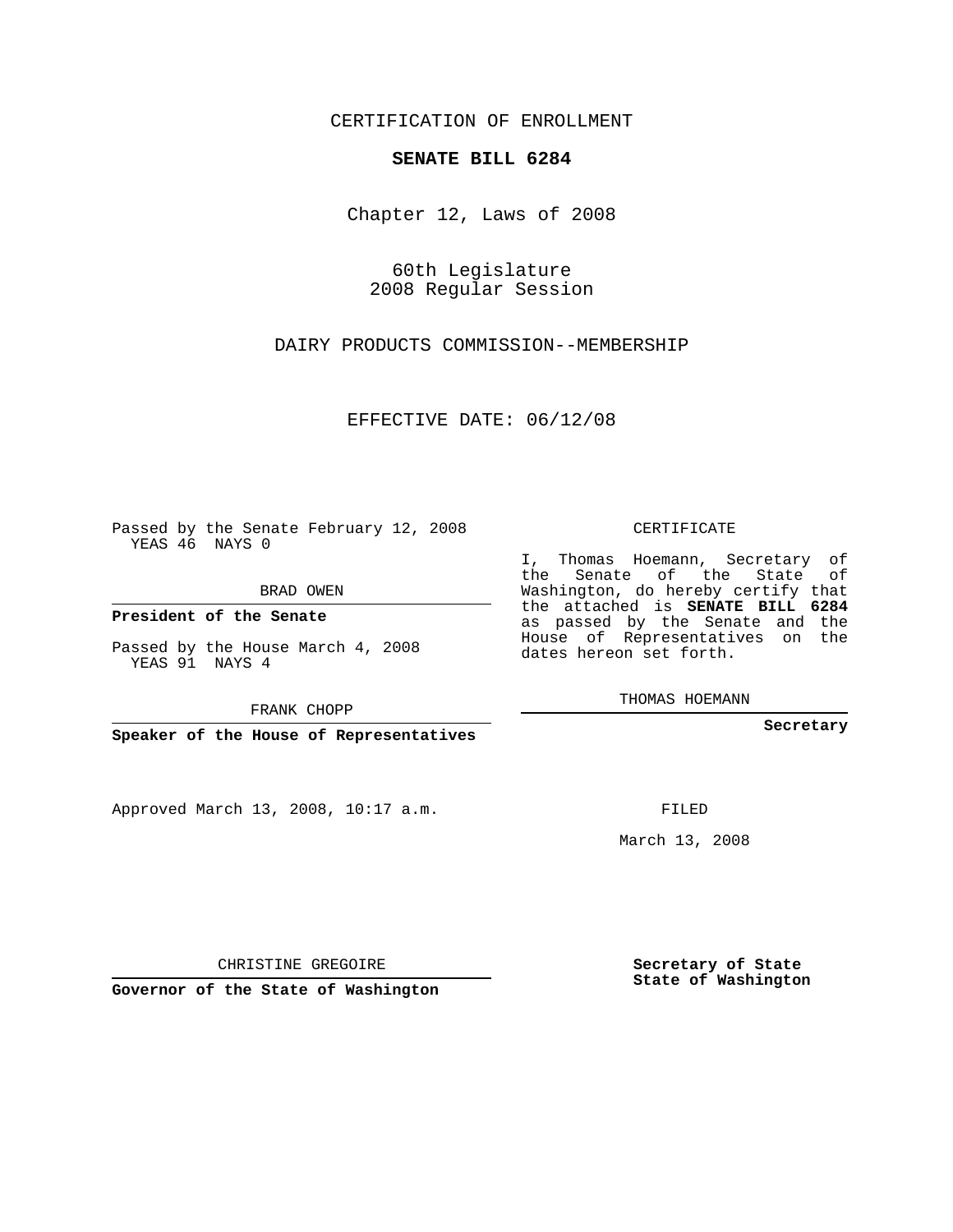CERTIFICATION OF ENROLLMENT

## **SENATE BILL 6284**

Chapter 12, Laws of 2008

60th Legislature 2008 Regular Session

DAIRY PRODUCTS COMMISSION--MEMBERSHIP

EFFECTIVE DATE: 06/12/08

Passed by the Senate February 12, 2008 YEAS 46 NAYS 0

BRAD OWEN

**President of the Senate**

Passed by the House March 4, 2008 YEAS 91 NAYS 4

FRANK CHOPP

**Speaker of the House of Representatives**

Approved March 13, 2008, 10:17 a.m.

CERTIFICATE

I, Thomas Hoemann, Secretary of the Senate of the State of Washington, do hereby certify that the attached is **SENATE BILL 6284** as passed by the Senate and the House of Representatives on the dates hereon set forth.

THOMAS HOEMANN

**Secretary**

FILED

March 13, 2008

**Secretary of State State of Washington**

CHRISTINE GREGOIRE

**Governor of the State of Washington**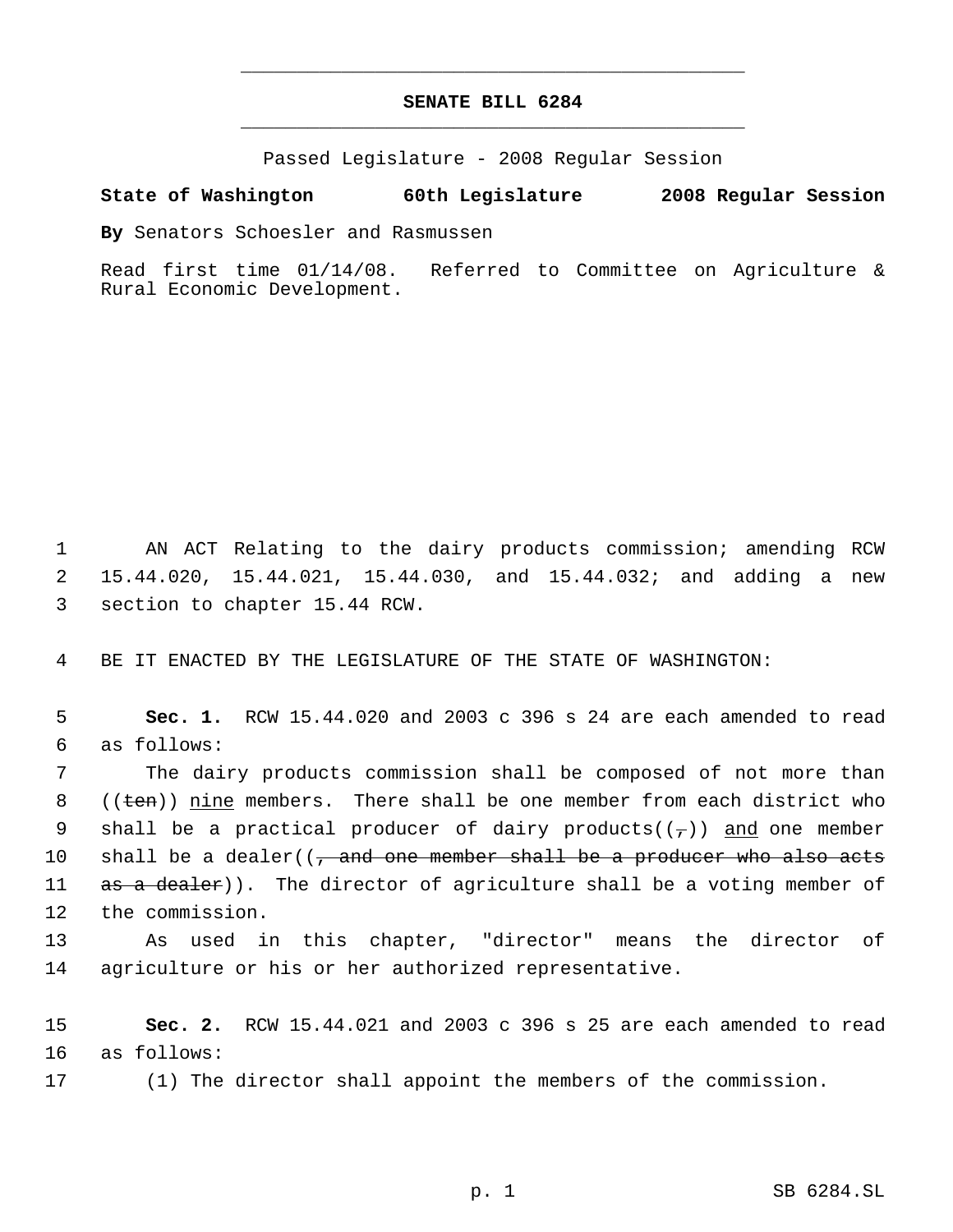## **SENATE BILL 6284** \_\_\_\_\_\_\_\_\_\_\_\_\_\_\_\_\_\_\_\_\_\_\_\_\_\_\_\_\_\_\_\_\_\_\_\_\_\_\_\_\_\_\_\_\_

\_\_\_\_\_\_\_\_\_\_\_\_\_\_\_\_\_\_\_\_\_\_\_\_\_\_\_\_\_\_\_\_\_\_\_\_\_\_\_\_\_\_\_\_\_

Passed Legislature - 2008 Regular Session

## **State of Washington 60th Legislature 2008 Regular Session**

**By** Senators Schoesler and Rasmussen

Read first time 01/14/08. Referred to Committee on Agriculture & Rural Economic Development.

 1 AN ACT Relating to the dairy products commission; amending RCW 2 15.44.020, 15.44.021, 15.44.030, and 15.44.032; and adding a new 3 section to chapter 15.44 RCW.

4 BE IT ENACTED BY THE LEGISLATURE OF THE STATE OF WASHINGTON:

 5 **Sec. 1.** RCW 15.44.020 and 2003 c 396 s 24 are each amended to read 6 as follows:

 7 The dairy products commission shall be composed of not more than 8  $((\text{ten}))$  nine members. There shall be one member from each district who 9 shall be a practical producer of dairy products( $(\tau)$ ) and one member 10 shall be a dealer( $\left($ , and one member shall be a producer who also acts 11 as a dealer)). The director of agriculture shall be a voting member of 12 the commission.

13 As used in this chapter, "director" means the director of 14 agriculture or his or her authorized representative.

15 **Sec. 2.** RCW 15.44.021 and 2003 c 396 s 25 are each amended to read 16 as follows:

17 (1) The director shall appoint the members of the commission.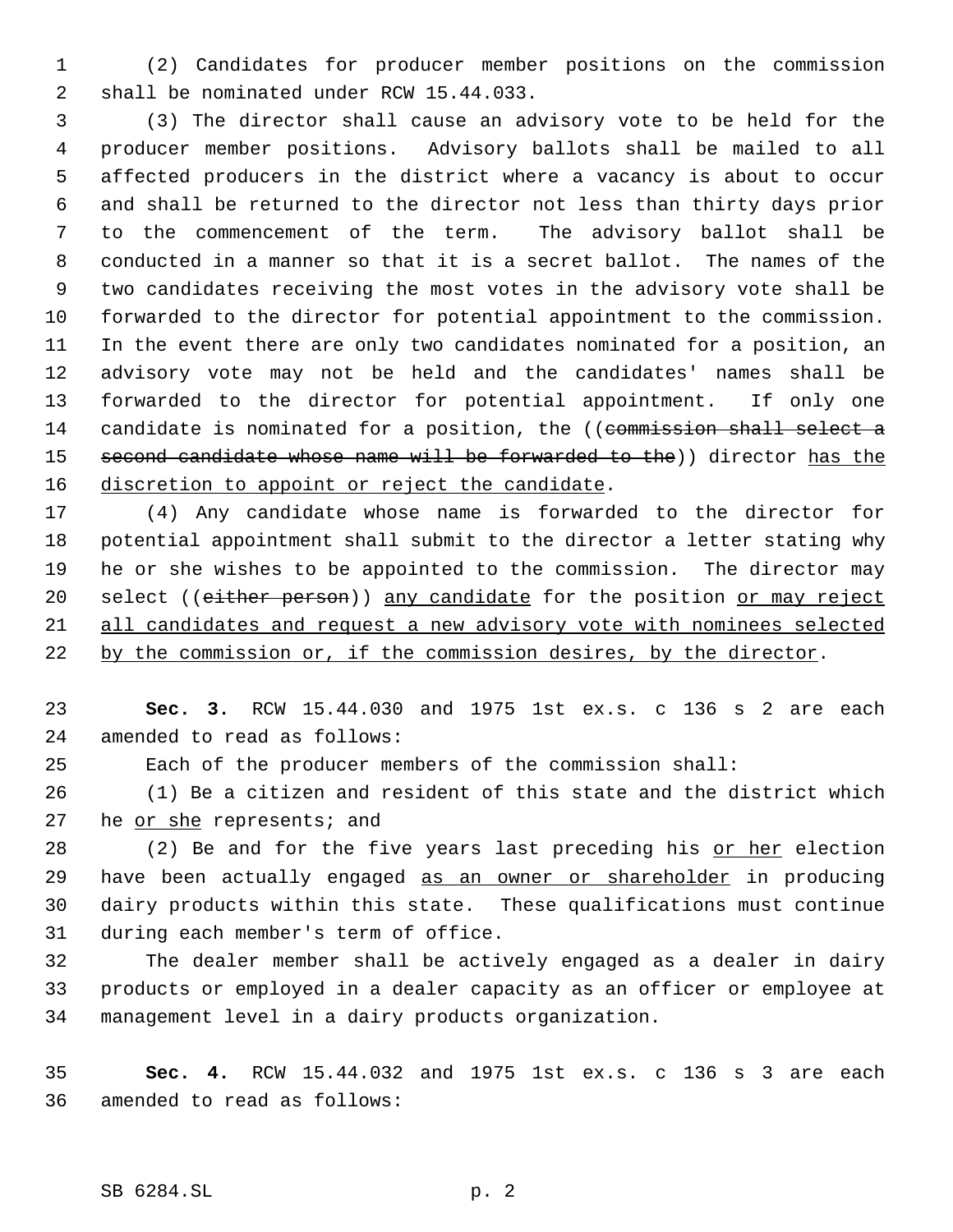(2) Candidates for producer member positions on the commission shall be nominated under RCW 15.44.033.

 (3) The director shall cause an advisory vote to be held for the producer member positions. Advisory ballots shall be mailed to all affected producers in the district where a vacancy is about to occur and shall be returned to the director not less than thirty days prior to the commencement of the term. The advisory ballot shall be conducted in a manner so that it is a secret ballot. The names of the two candidates receiving the most votes in the advisory vote shall be forwarded to the director for potential appointment to the commission. In the event there are only two candidates nominated for a position, an advisory vote may not be held and the candidates' names shall be forwarded to the director for potential appointment. If only one 14 candidate is nominated for a position, the ((commission shall select a 15 second candidate whose name will be forwarded to the)) director has the 16 discretion to appoint or reject the candidate.

 (4) Any candidate whose name is forwarded to the director for potential appointment shall submit to the director a letter stating why he or she wishes to be appointed to the commission. The director may 20 select ((either person)) any candidate for the position or may reject all candidates and request a new advisory vote with nominees selected by the commission or, if the commission desires, by the director.

 **Sec. 3.** RCW 15.44.030 and 1975 1st ex.s. c 136 s 2 are each amended to read as follows:

Each of the producer members of the commission shall:

 (1) Be a citizen and resident of this state and the district which 27 he or she represents; and

 (2) Be and for the five years last preceding his or her election 29 have been actually engaged as an owner or shareholder in producing dairy products within this state. These qualifications must continue during each member's term of office.

 The dealer member shall be actively engaged as a dealer in dairy products or employed in a dealer capacity as an officer or employee at management level in a dairy products organization.

 **Sec. 4.** RCW 15.44.032 and 1975 1st ex.s. c 136 s 3 are each amended to read as follows: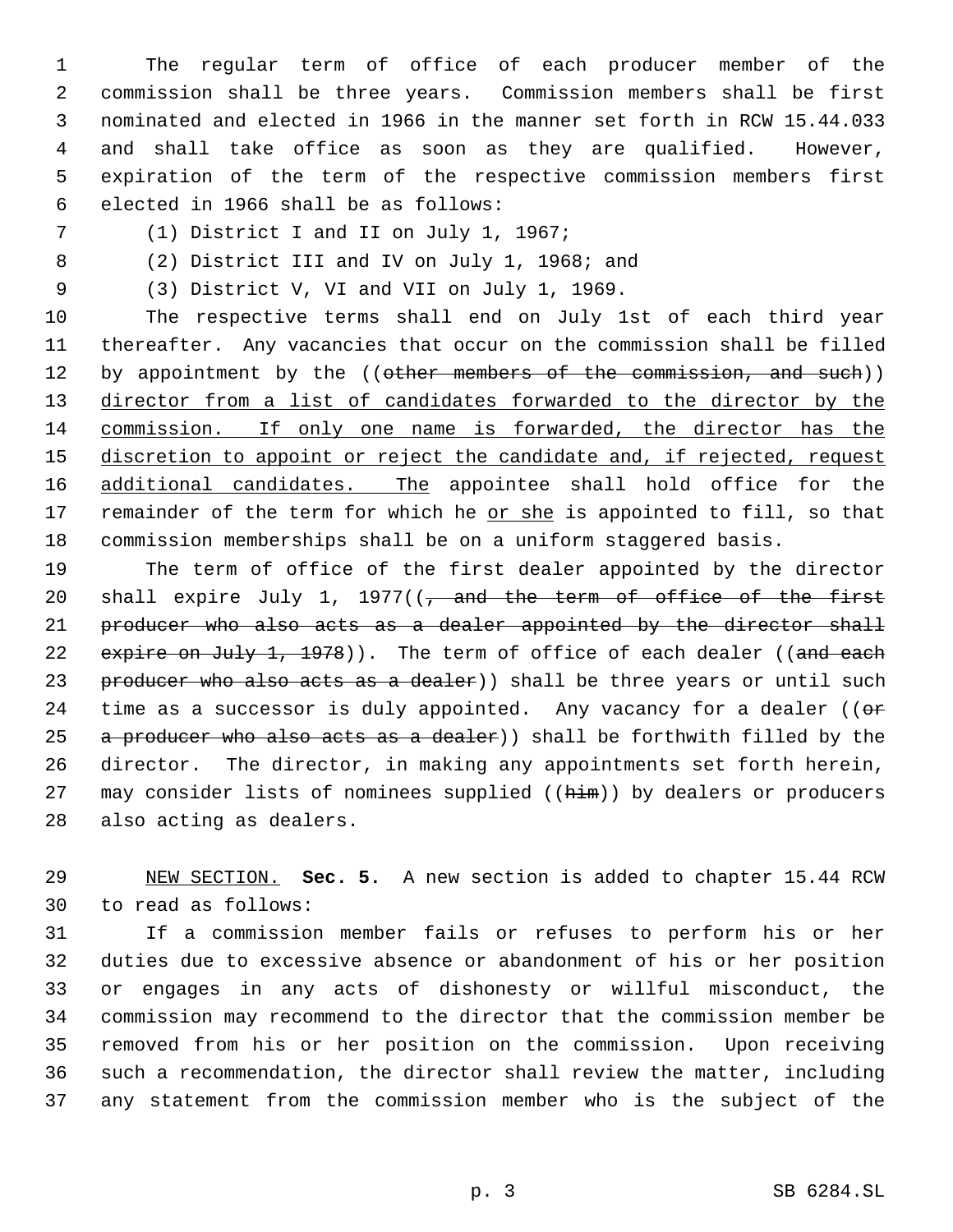The regular term of office of each producer member of the commission shall be three years. Commission members shall be first nominated and elected in 1966 in the manner set forth in RCW 15.44.033 and shall take office as soon as they are qualified. However, expiration of the term of the respective commission members first elected in 1966 shall be as follows:

(1) District I and II on July 1, 1967;

(2) District III and IV on July 1, 1968; and

(3) District V, VI and VII on July 1, 1969.

 The respective terms shall end on July 1st of each third year thereafter. Any vacancies that occur on the commission shall be filled 12 by appointment by the ((other members of the commission, and such)) 13 director from a list of candidates forwarded to the director by the commission. If only one name is forwarded, the director has the 15 discretion to appoint or reject the candidate and, if rejected, request 16 additional candidates. The appointee shall hold office for the 17 remainder of the term for which he or she is appointed to fill, so that commission memberships shall be on a uniform staggered basis.

 The term of office of the first dealer appointed by the director 20 shall expire July 1, 1977( $\left(\frac{1}{2}\right)$  and the term of office of the first 21 producer who also acts as a dealer appointed by the director shall 22 expire on July 1, 1978)). The term of office of each dealer ((and each 23 producer who also acts as a dealer) shall be three years or until such 24 time as a successor is duly appointed. Any vacancy for a dealer (( $\sigma$ 25 a producer who also acts as a dealer)) shall be forthwith filled by the director. The director, in making any appointments set forth herein, 27 may consider lists of nominees supplied ((him)) by dealers or producers also acting as dealers.

 NEW SECTION. **Sec. 5.** A new section is added to chapter 15.44 RCW to read as follows:

 If a commission member fails or refuses to perform his or her duties due to excessive absence or abandonment of his or her position or engages in any acts of dishonesty or willful misconduct, the commission may recommend to the director that the commission member be removed from his or her position on the commission. Upon receiving such a recommendation, the director shall review the matter, including any statement from the commission member who is the subject of the